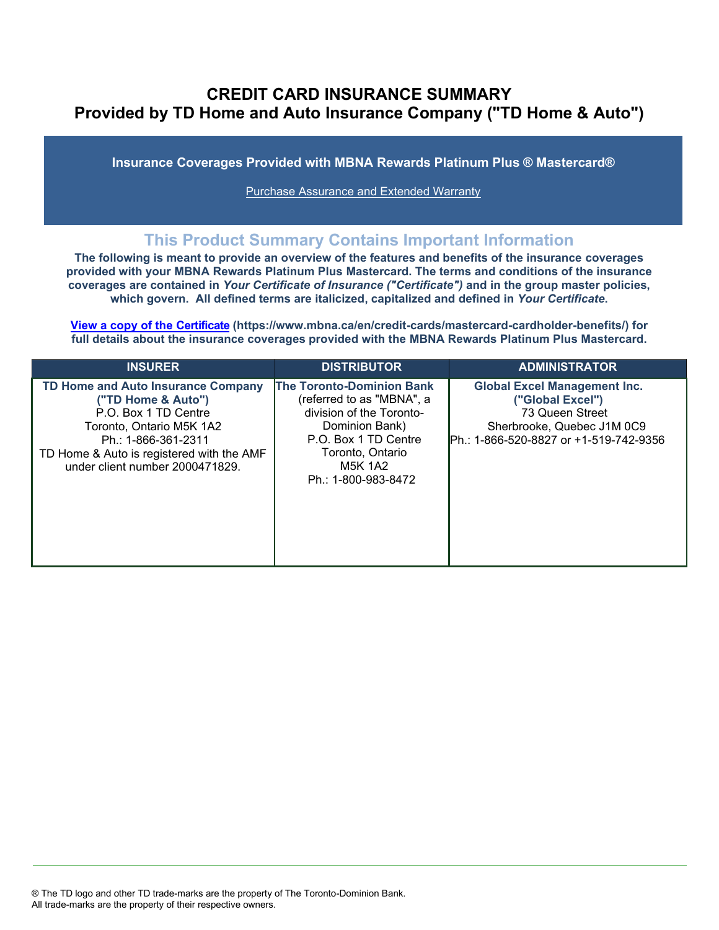# **CREDIT CARD INSURANCE SUMMARY Provided by TD Home and Auto Insurance Company ("TD Home & Auto")**

**Insurance Coverages Provided with MBNA Rewards Platinum Plus ® Mastercard®**

[Purchase Assurance and Extended Warranty](#page-2-0)

# **This Product Summary Contains Important Information**

**The following is meant to provide an overview of the features and benefits of the insurance coverages provided with your MBNA Rewards Platinum Plus Mastercard. The terms and conditions of the insurance coverages are contained in** *Your Certificate of Insurance ("Certificate")* **and in the group master policies, which govern. All defined terms are italicized, capitalized and defined in** *Your Certificate***.**

**[View a copy of the Certificate](https://www.mbna.ca/en/credit-cards/mastercard-cardholder-benefits/) (https://www.mbna.ca/en/credit-cards/mastercard-cardholder-benefits/) for full details about the insurance coverages provided with the MBNA Rewards Platinum Plus Mastercard.**

| <b>INSURER</b>                                                                                                                                                                                                      | <b>DISTRIBUTOR</b>                                                                                                                                                                        | <b>ADMINISTRATOR</b>                                                                                                                                |
|---------------------------------------------------------------------------------------------------------------------------------------------------------------------------------------------------------------------|-------------------------------------------------------------------------------------------------------------------------------------------------------------------------------------------|-----------------------------------------------------------------------------------------------------------------------------------------------------|
| TD Home and Auto Insurance Company<br>("TD Home & Auto")<br>P.O. Box 1 TD Centre<br>Toronto, Ontario M5K 1A2<br>Ph.: 1-866-361-2311<br>TD Home & Auto is registered with the AMF<br>under client number 2000471829. | <b>The Toronto-Dominion Bank</b><br>(referred to as "MBNA", a<br>division of the Toronto-<br>Dominion Bank)<br>P.O. Box 1 TD Centre<br>Toronto, Ontario<br>M5K 1A2<br>Ph.: 1-800-983-8472 | <b>Global Excel Management Inc.</b><br>("Global Excel")<br>73 Queen Street<br>Sherbrooke, Quebec J1M 0C9<br>IPh.: 1-866-520-8827 or +1-519-742-9356 |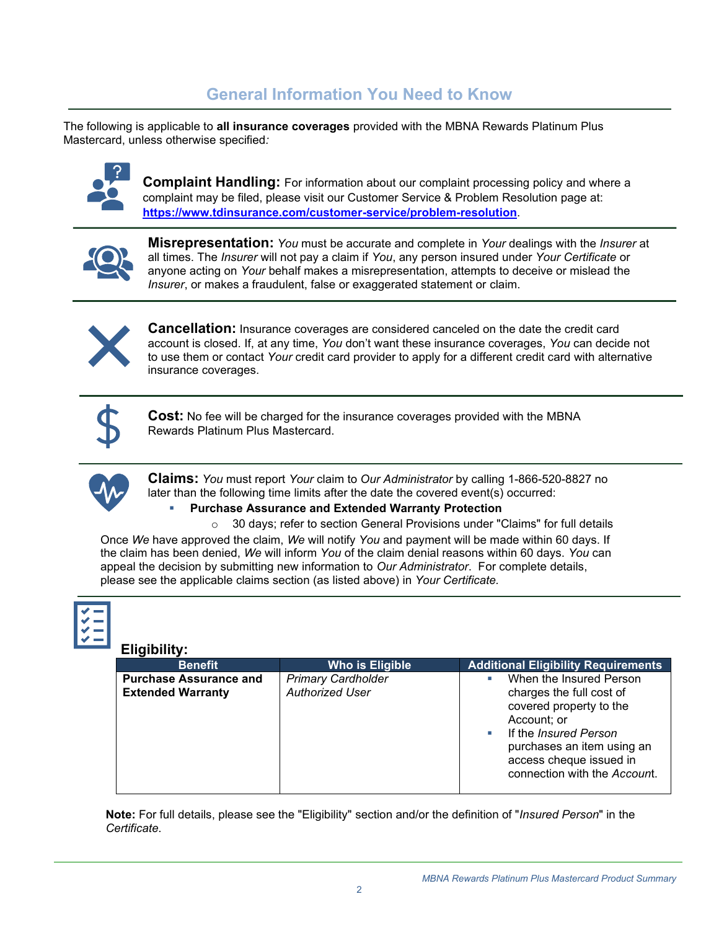# **General Information You Need to Know**

The following is applicable to **all insurance coverages** provided with the MBNA Rewards Platinum Plus Mastercard, unless otherwise specified*:*



**Complaint Handling:** For information about our complaint processing policy and where a complaint may be filed, please visit our Customer Service & Problem Resolution page at: **<https://www.tdinsurance.com/customer-service/problem-resolution>**.



**Misrepresentation:** *You* must be accurate and complete in *Your* dealings with the *Insurer* at all times. The *Insurer* will not pay a claim if *You*, any person insured under *Your Certificate* or anyone acting on *Your* behalf makes a misrepresentation, attempts to deceive or mislead the *Insurer*, or makes a fraudulent, false or exaggerated statement or claim.



**Cancellation:** Insurance coverages are considered canceled on the date the credit card account is closed. If, at any time, *You* don't want these insurance coverages, *You* can decide not to use them or contact *Your* credit card provider to apply for a different credit card with alternative insurance coverages.



**Cost:** No fee will be charged for the insurance coverages provided with the MBNA Rewards Platinum Plus Mastercard.



**Claims:** *You* must report *Your* claim to *Our Administrator* by calling 1-866-520-8827 no later than the following time limits after the date the covered event(s) occurred:

### **Purchase Assurance and Extended Warranty Protection**

o 30 days; refer to section General Provisions under "Claims" for full details

Once *We* have approved the claim, *We* will notify *You* and payment will be made within 60 days. If the claim has been denied, *We* will inform *You* of the claim denial reasons within 60 days. *You* can appeal the decision by submitting new information to *Our Administrator*. For complete details, please see the applicable claims section (as listed above) in *Your Certificate.*

### **Eligibility:**

| ничмицу.                                                  |                                                     |                                                                                                                                                                                                                 |  |  |
|-----------------------------------------------------------|-----------------------------------------------------|-----------------------------------------------------------------------------------------------------------------------------------------------------------------------------------------------------------------|--|--|
| <b>Benefit</b>                                            | Who is Eligible                                     | <b>Additional Eligibility Requirements</b>                                                                                                                                                                      |  |  |
| <b>Purchase Assurance and</b><br><b>Extended Warranty</b> | <b>Primary Cardholder</b><br><b>Authorized User</b> | When the Insured Person<br>charges the full cost of<br>covered property to the<br>Account; or<br>If the Insured Person<br>purchases an item using an<br>access cheque issued in<br>connection with the Account. |  |  |

**Note:** For full details, please see the "Eligibility" section and/or the definition of "*Insured Person*" in the *Certificate*.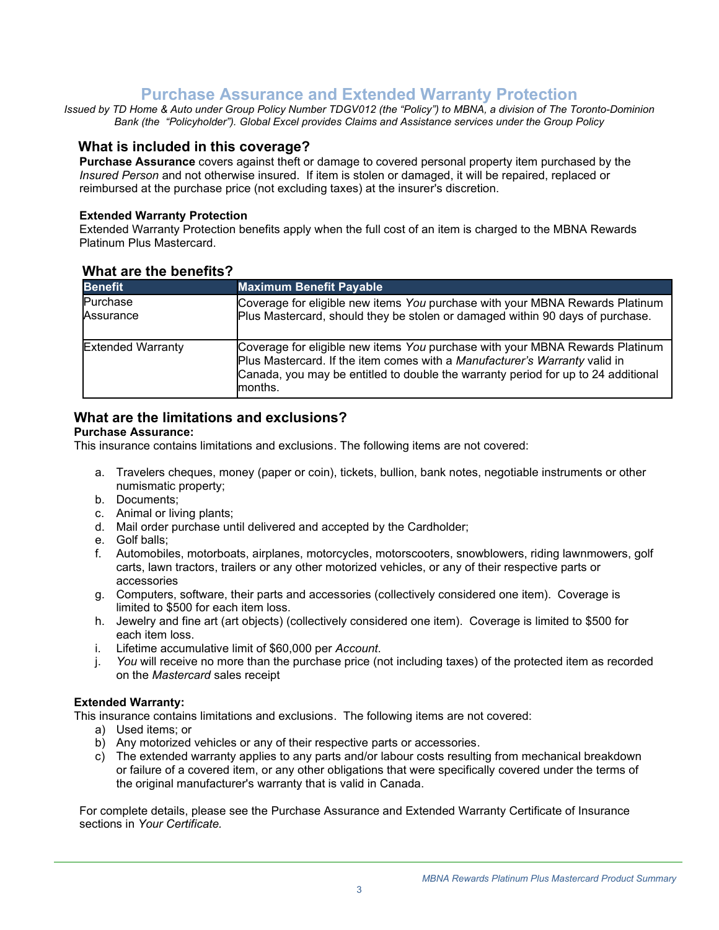# **Purchase Assurance and Extended Warranty Protection**

<span id="page-2-0"></span>*Issued by TD Home & Auto under Group Policy Number TDGV012 (the "Policy") to MBNA, a division of The Toronto-Dominion Bank (the "Policyholder"). Global Excel provides Claims and Assistance services under the Group Policy*

## **What is included in this coverage?**

**Purchase Assurance** covers against theft or damage to covered personal property item purchased by the *Insured Person* and not otherwise insured. If item is stolen or damaged, it will be repaired, replaced or reimbursed at the purchase price (not excluding taxes) at the insurer's discretion.

### **Extended Warranty Protection**

Extended Warranty Protection benefits apply when the full cost of an item is charged to the MBNA Rewards Platinum Plus Mastercard.

| <b>Benefit</b>           | <b>Maximum Benefit Payable</b>                                                                                                                                                                                                                             |
|--------------------------|------------------------------------------------------------------------------------------------------------------------------------------------------------------------------------------------------------------------------------------------------------|
| Purchase<br>Assurance    | Coverage for eligible new items You purchase with your MBNA Rewards Platinum<br>Plus Mastercard, should they be stolen or damaged within 90 days of purchase.                                                                                              |
| <b>Extended Warranty</b> | Coverage for eligible new items You purchase with your MBNA Rewards Platinum<br>Plus Mastercard. If the item comes with a Manufacturer's Warranty valid in<br>Canada, you may be entitled to double the warranty period for up to 24 additional<br>months. |

### **What are the benefits?**

## **What are the limitations and exclusions?**

### **Purchase Assurance:**

This insurance contains limitations and exclusions. The following items are not covered:

- a. Travelers cheques, money (paper or coin), tickets, bullion, bank notes, negotiable instruments or other numismatic property;
- b. Documents;
- c. Animal or living plants;
- d. Mail order purchase until delivered and accepted by the Cardholder;
- e. Golf balls;
- f. Automobiles, motorboats, airplanes, motorcycles, motorscooters, snowblowers, riding lawnmowers, golf carts, lawn tractors, trailers or any other motorized vehicles, or any of their respective parts or accessories
- g. Computers, software, their parts and accessories (collectively considered one item). Coverage is limited to \$500 for each item loss.
- h. Jewelry and fine art (art objects) (collectively considered one item). Coverage is limited to \$500 for each item loss.
- i. Lifetime accumulative limit of \$60,000 per *Account*.
- j. *You* will receive no more than the purchase price (not including taxes) of the protected item as recorded on the *Mastercard* sales receipt

### **Extended Warranty:**

This insurance contains limitations and exclusions. The following items are not covered:

- a) Used items; or
- b) Any motorized vehicles or any of their respective parts or accessories.
- c) The extended warranty applies to any parts and/or labour costs resulting from mechanical breakdown or failure of a covered item, or any other obligations that were specifically covered under the terms of the original manufacturer's warranty that is valid in Canada.

For complete details, please see the Purchase Assurance and Extended Warranty Certificate of Insurance sections in *Your Certificate.*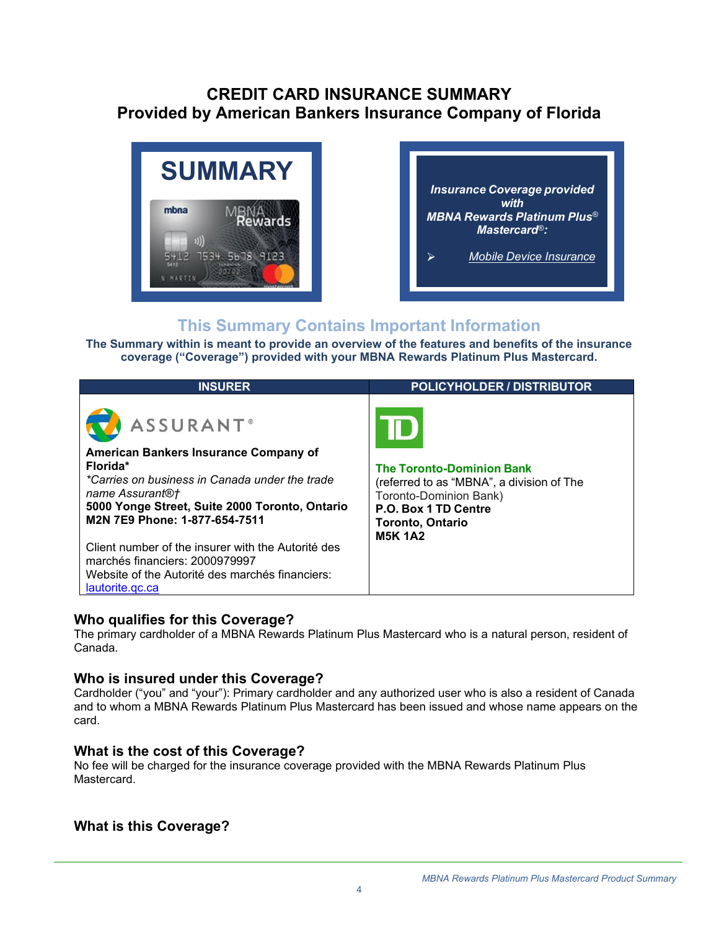# <span id="page-3-0"></span>**CREDIT CARD INSURANCE SUMMARY Provided by American Bankers Insurance Company of Florida**





# **This Summary Contains Important Information**

**The Summary within is meant to provide an overview of the features and benefits of the insurance coverage ("Coverage") provided with your MBNA Rewards Platinum Plus Mastercard.**

| <b>INSURER</b>                                                                                                                                                                                                                                                                                                                                                                              | <b>POLICYHOLDER / DISTRIBUTOR</b>                                                                                                                                            |
|---------------------------------------------------------------------------------------------------------------------------------------------------------------------------------------------------------------------------------------------------------------------------------------------------------------------------------------------------------------------------------------------|------------------------------------------------------------------------------------------------------------------------------------------------------------------------------|
| <b>ASSURANT®</b><br>American Bankers Insurance Company of<br>Florida*<br>*Carries on business in Canada under the trade<br>name Assurant®†<br>5000 Yonge Street, Suite 2000 Toronto, Ontario<br>M2N 7E9 Phone: 1-877-654-7511<br>Client number of the insurer with the Autorité des<br>marchés financiers: 2000979997<br>Website of the Autorité des marchés financiers:<br>lautorite.gc.ca | <b>The Toronto-Dominion Bank</b><br>(referred to as "MBNA", a division of The<br>Toronto-Dominion Bank)<br>P.O. Box 1 TD Centre<br><b>Toronto, Ontario</b><br><b>M5K 1A2</b> |

## **Who qualifies for this Coverage?**

The primary cardholder of a MBNA Rewards Platinum Plus Mastercard who is a natural person, resident of Canada.

## **Who is insured under this Coverage?**

Cardholder ("you" and "your"): Primary cardholder and any authorized user who is also a resident of Canada and to whom a MBNA Rewards Platinum Plus Mastercard has been issued and whose name appears on the card.

## **What is the cost of this Coverage?**

No fee will be charged for the insurance coverage provided with the MBNA Rewards Platinum Plus **Mastercard** 

## **What is this Coverage?**